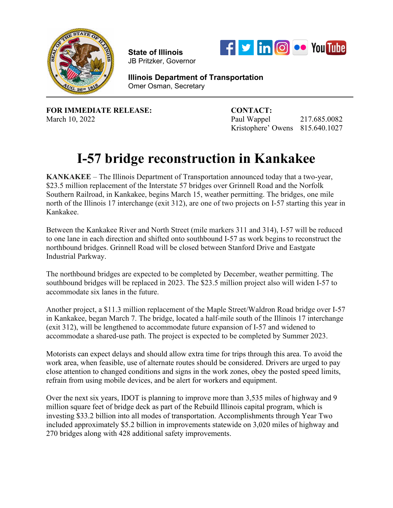

**State of Illinois**  JB Pritzker, Governor



**Illinois Department of Transportation** Omer Osman, Secretary

**FOR IMMEDIATE RELEASE: CONTACT:**

March 10, 2022 **Paul Wappel 217.685.0082** Kristophere' Owens 815.640.1027

## **I-57 bridge reconstruction in Kankakee**

**KANKAKEE** – The Illinois Department of Transportation announced today that a two-year, \$23.5 million replacement of the Interstate 57 bridges over Grinnell Road and the Norfolk Southern Railroad, in Kankakee, begins March 15, weather permitting. The bridges, one mile north of the Illinois 17 interchange (exit 312), are one of two projects on I-57 starting this year in Kankakee.

Between the Kankakee River and North Street (mile markers 311 and 314), I-57 will be reduced to one lane in each direction and shifted onto southbound I-57 as work begins to reconstruct the northbound bridges. Grinnell Road will be closed between Stanford Drive and Eastgate Industrial Parkway.

The northbound bridges are expected to be completed by December, weather permitting. The southbound bridges will be replaced in 2023. The \$23.5 million project also will widen I-57 to accommodate six lanes in the future.

Another project, a \$11.3 million replacement of the Maple Street/Waldron Road bridge over I-57 in Kankakee, began March 7. The bridge, located a half-mile south of the Illinois 17 interchange (exit 312), will be lengthened to accommodate future expansion of I-57 and widened to accommodate a shared-use path. The project is expected to be completed by Summer 2023.

Motorists can expect delays and should allow extra time for trips through this area. To avoid the work area, when feasible, use of alternate routes should be considered. Drivers are urged to pay close attention to changed conditions and signs in the work zones, obey the posted speed limits, refrain from using mobile devices, and be alert for workers and equipment.

Over the next six years, IDOT is planning to improve more than 3,535 miles of highway and 9 million square feet of bridge deck as part of the Rebuild Illinois capital program, which is investing \$33.2 billion into all modes of transportation. Accomplishments through Year Two included approximately \$5.2 billion in improvements statewide on 3,020 miles of highway and 270 bridges along with 428 additional safety improvements.